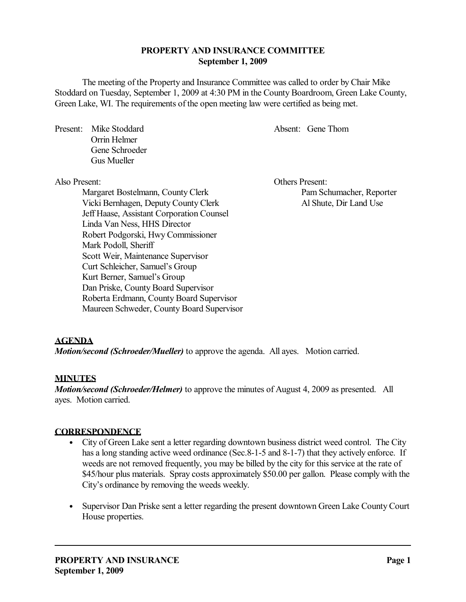# **PROPERTY AND INSURANCE COMMITTEE September 1, 2009**

The meeting of the Property and Insurance Committee was called to order by Chair Mike Stoddard on Tuesday, September 1, 2009 at 4:30 PM in the County Boardroom, Green Lake County, Green Lake, WI. The requirements of the open meeting law were certified as being met.

Present: Mike Stoddard Absent: Gene Thom Orrin Helmer Gene Schroeder Gus Mueller

Margaret Bostelmann, County Clerk Pam Schumacher, Reporter Vicki Bernhagen, Deputy County Clerk Al Shute, Dir Land Use Jeff Haase, Assistant Corporation Counsel Linda Van Ness, HHS Director Robert Podgorski, Hwy Commissioner Mark Podoll, Sheriff Scott Weir, Maintenance Supervisor Curt Schleicher, Samuel's Group Kurt Berner, Samuel's Group Dan Priske, County Board Supervisor Roberta Erdmann, County Board Supervisor Maureen Schweder, County Board Supervisor

Also Present: Others Present:

# **AGENDA**

*Motion/second (Schroeder/Mueller)* to approve the agenda. All ayes. Motion carried.

# **MINUTES**

*Motion/second (Schroeder/Helmer)* to approve the minutes of August 4, 2009 as presented. All ayes. Motion carried.

#### **CORRESPONDENCE**

- City of Green Lake sent a letter regarding downtown business district weed control. The City has a long standing active weed ordinance (Sec. 8-1-5 and 8-1-7) that they actively enforce. If weeds are not removed frequently, you may be billed by the city for this service at the rate of \$45/hour plus materials. Spray costs approximately \$50.00 per gallon. Please comply with the City's ordinance by removing the weeds weekly.
- Supervisor Dan Priske sent a letter regarding the present downtown Green Lake County Court House properties.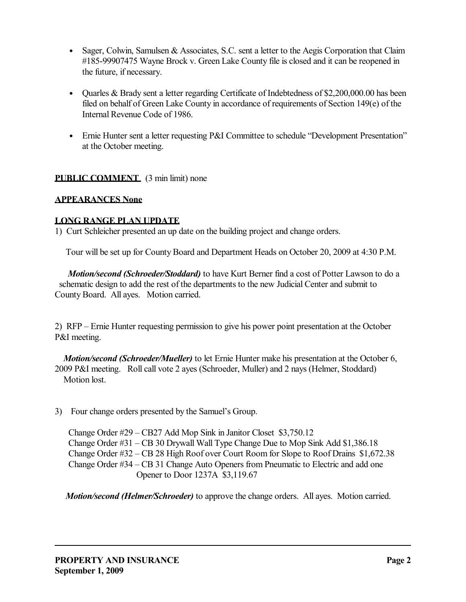- Sager, Colwin, Samulsen & Associates, S.C. sent a letter to the Aegis Corporation that Claim #185-99907475 Wayne Brock v. Green Lake County file is closed and it can be reopened in the future, if necessary.
- Quarles & Brady sent a letter regarding Certificate of Indebtedness of \$2,200,000.00 has been filed on behalf of Green Lake County in accordance of requirements of Section 149(e) of the Internal Revenue Code of 1986.
- Ernie Hunter sent a letter requesting P&I Committee to schedule "Development Presentation" at the October meeting.

# **PUBLIC COMMENT** (3 min limit) none

# **APPEARANCES None**

# **LONG RANGE PLAN UPDATE**

1) Curt Schleicher presented an up date on the building project and change orders.

Tour will be set up for County Board and Department Heads on October 20, 2009 at 4:30 P.M.

 *Motion/second (Schroeder/Stoddard)* to have Kurt Berner find a cost of Potter Lawson to do a schematic design to add the rest of the departments to the new Judicial Center and submit to County Board. All ayes. Motion carried.

2) RFP – Ernie Hunter requesting permission to give his power point presentation at the October P&I meeting.

 *Motion/second (Schroeder/Mueller)* to let Ernie Hunter make his presentation at the October 6, 2009 P&I meeting. Roll call vote 2 ayes (Schroeder, Muller) and 2 nays (Helmer, Stoddard) Motion lost.

3) Four change orders presented by the Samuel's Group.

Change Order #29 – CB27 Add Mop Sink in Janitor Closet \$3,750.12 Change Order #31 – CB 30 Drywall Wall Type Change Due to Mop Sink Add \$1,386.18 Change Order #32 – CB 28 High Roof over Court Room for Slope to Roof Drains \$1,672.38 Change Order #34 – CB 31 Change Auto Openers from Pneumatic to Electric and add one Opener to Door 1237A \$3,119.67

 *Motion/second (Helmer/Schroeder)* to approve the change orders. All ayes. Motion carried.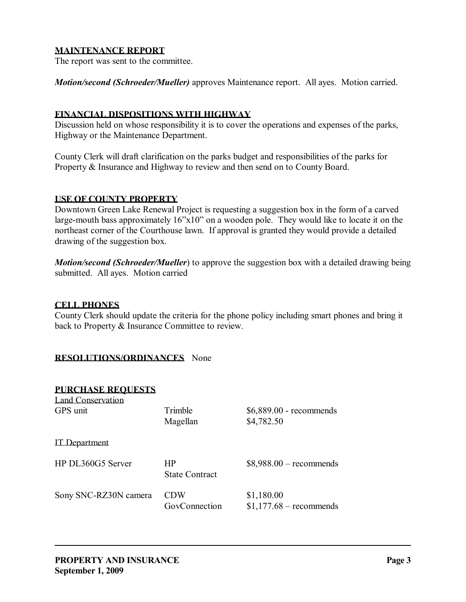## **MAINTENANCE REPORT**

The report was sent to the committee.

*Motion/second (Schroeder/Mueller)* approves Maintenance report. All ayes. Motion carried.

#### **FINANCIAL DISPOSITIONS WITH HIGHWAY**

Discussion held on whose responsibility it is to cover the operations and expenses of the parks, Highway or the Maintenance Department.

County Clerk will draft clarification on the parks budget and responsibilities of the parks for Property & Insurance and Highway to review and then send on to County Board.

## **USE OF COUNTY PROPERTY**

Downtown Green Lake Renewal Project is requesting a suggestion box in the form of a carved large-mouth bass approximately 16"x10" on a wooden pole. They would like to locate it on the northeast corner of the Courthouse lawn. If approval is granted they would provide a detailed drawing of the suggestion box.

*Motion/second (Schroeder/Mueller)* to approve the suggestion box with a detailed drawing being submitted. All ayes. Motion carried

### **CELL PHONES**

County Clerk should update the criteria for the phone policy including smart phones and bring it back to Property & Insurance Committee to review.

# **RESOLUTIONS/ORDINANCES** None

| <b>PURCHASE REQUESTS</b><br>Land Conservation<br>GPS unit | Trimble                     | $$6,889.00$ - recommends               |
|-----------------------------------------------------------|-----------------------------|----------------------------------------|
| <b>IT</b> Department                                      | Magellan                    | \$4,782.50                             |
| HP DL360G5 Server                                         | HP<br><b>State Contract</b> | $$8,988.00$ – recommends               |
| Sony SNC-RZ30N camera                                     | <b>CDW</b><br>GovConnection | \$1,180.00<br>$$1,177.68$ – recommends |